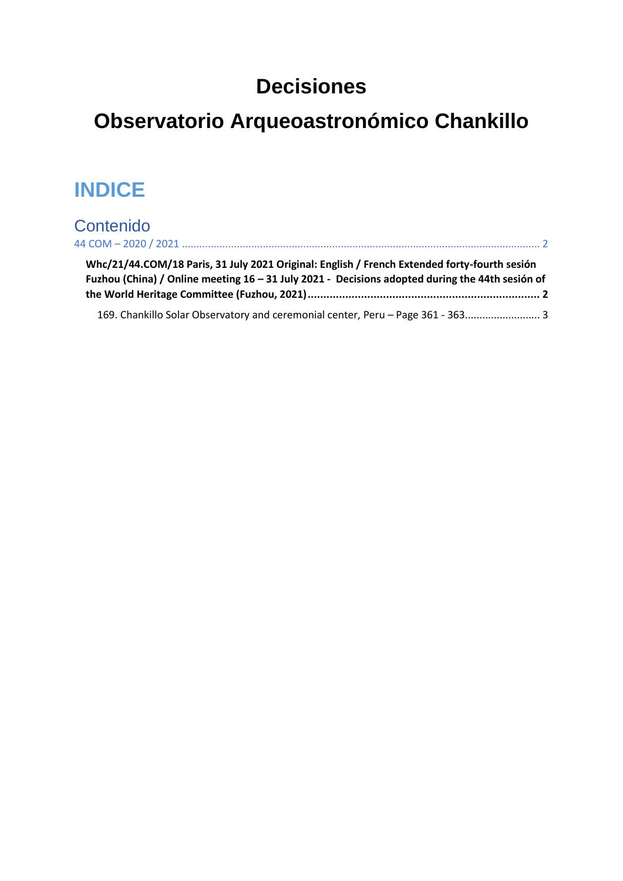# **Decisiones**

# **Observatorio Arqueoastronómico Chankillo**

# **INDICE**

# Contenido

| Whc/21/44.COM/18 Paris, 31 July 2021 Original: English / French Extended forty-fourth sesión<br>Fuzhou (China) / Online meeting $16 - 31$ July 2021 - Decisions adopted during the 44th sesión of |  |
|---------------------------------------------------------------------------------------------------------------------------------------------------------------------------------------------------|--|
| 169. Chankillo Solar Observatory and ceremonial center, Peru - Page 361 - 363 3                                                                                                                   |  |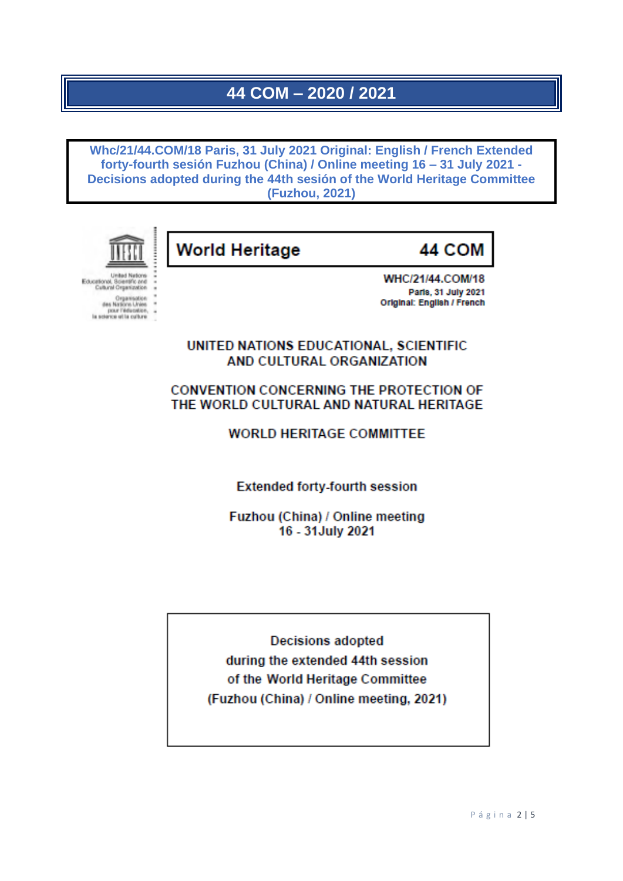## 44 COM - 2020 / 2021

<span id="page-1-1"></span><span id="page-1-0"></span>Whc/21/44.COM/18 Paris, 31 July 2021 Original: English / French Extended forty-fourth sesión Fuzhou (China) / Online meeting 16 - 31 July 2021 -Decisions adopted during the 44th sesión of the World Heritage Committee (Fuzhou, 2021)



United Nations Educational, Scientific and<br>Educational, Scientific and<br>Cultural Organization Organisation<br>des Nations Unies<br>pour l'éducation,<br>la science utilis culture **World Heritage** 

44 COM

WHC/21/44.COM/18 Parts, 31 July 2021 Original: English / French

UNITED NATIONS EDUCATIONAL, SCIENTIFIC AND CULTURAL ORGANIZATION

**CONVENTION CONCERNING THE PROTECTION OF** THE WORLD CULTURAL AND NATURAL HERITAGE

**WORLD HERITAGE COMMITTEE** 

**Extended forty-fourth session** 

Fuzhou (China) / Online meeting 16 - 31 July 2021

**Decisions adopted** during the extended 44th session of the World Heritage Committee (Fuzhou (China) / Online meeting, 2021)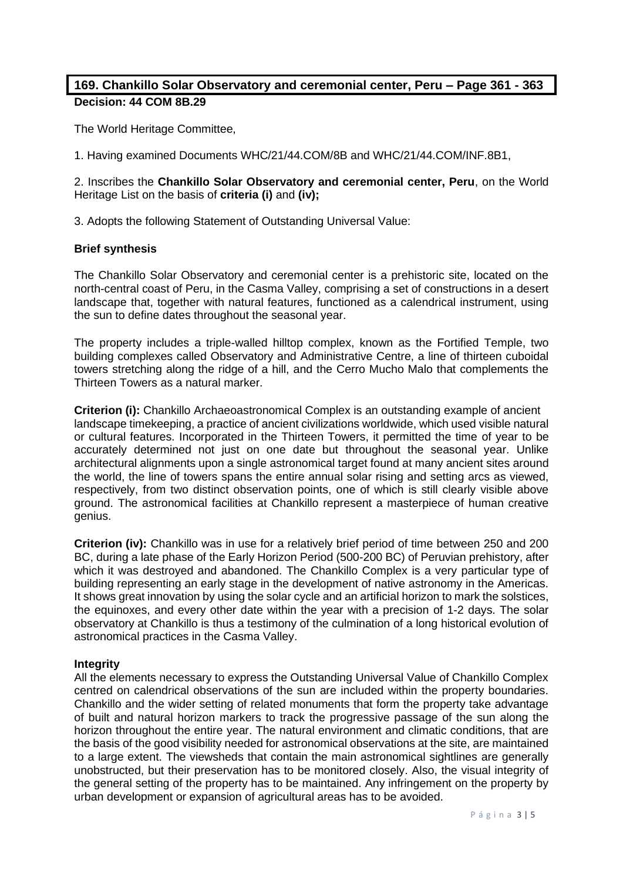## <span id="page-2-0"></span>**169. Chankillo Solar Observatory and ceremonial center, Peru – Page 361 - 363 Decision: 44 COM 8B.29**

The World Heritage Committee,

1. Having examined Documents WHC/21/44.COM/8B and WHC/21/44.COM/INF.8B1,

2. Inscribes the **Chankillo Solar Observatory and ceremonial center, Peru**, on the World Heritage List on the basis of **criteria (i)** and **(iv);**

3. Adopts the following Statement of Outstanding Universal Value:

### **Brief synthesis**

The Chankillo Solar Observatory and ceremonial center is a prehistoric site, located on the north-central coast of Peru, in the Casma Valley, comprising a set of constructions in a desert landscape that, together with natural features, functioned as a calendrical instrument, using the sun to define dates throughout the seasonal year.

The property includes a triple-walled hilltop complex, known as the Fortified Temple, two building complexes called Observatory and Administrative Centre, a line of thirteen cuboidal towers stretching along the ridge of a hill, and the Cerro Mucho Malo that complements the Thirteen Towers as a natural marker.

**Criterion (i):** Chankillo Archaeoastronomical Complex is an outstanding example of ancient landscape timekeeping, a practice of ancient civilizations worldwide, which used visible natural or cultural features. Incorporated in the Thirteen Towers, it permitted the time of year to be accurately determined not just on one date but throughout the seasonal year. Unlike architectural alignments upon a single astronomical target found at many ancient sites around the world, the line of towers spans the entire annual solar rising and setting arcs as viewed, respectively, from two distinct observation points, one of which is still clearly visible above ground. The astronomical facilities at Chankillo represent a masterpiece of human creative genius.

**Criterion (iv):** Chankillo was in use for a relatively brief period of time between 250 and 200 BC, during a late phase of the Early Horizon Period (500-200 BC) of Peruvian prehistory, after which it was destroyed and abandoned. The Chankillo Complex is a very particular type of building representing an early stage in the development of native astronomy in the Americas. It shows great innovation by using the solar cycle and an artificial horizon to mark the solstices, the equinoxes, and every other date within the year with a precision of 1-2 days. The solar observatory at Chankillo is thus a testimony of the culmination of a long historical evolution of astronomical practices in the Casma Valley.

### **Integrity**

All the elements necessary to express the Outstanding Universal Value of Chankillo Complex centred on calendrical observations of the sun are included within the property boundaries. Chankillo and the wider setting of related monuments that form the property take advantage of built and natural horizon markers to track the progressive passage of the sun along the horizon throughout the entire year. The natural environment and climatic conditions, that are the basis of the good visibility needed for astronomical observations at the site, are maintained to a large extent. The viewsheds that contain the main astronomical sightlines are generally unobstructed, but their preservation has to be monitored closely. Also, the visual integrity of the general setting of the property has to be maintained. Any infringement on the property by urban development or expansion of agricultural areas has to be avoided.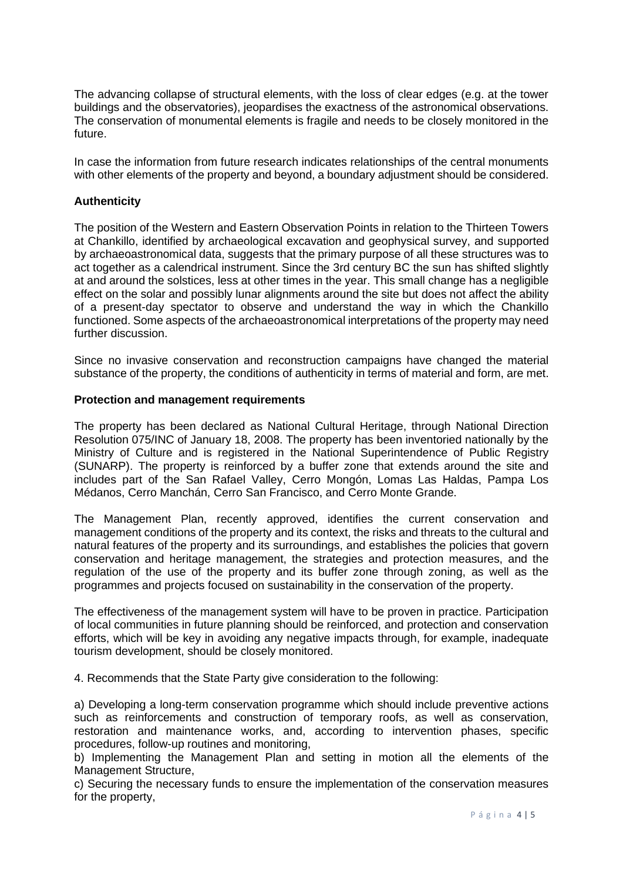The advancing collapse of structural elements, with the loss of clear edges (e.g. at the tower buildings and the observatories), jeopardises the exactness of the astronomical observations. The conservation of monumental elements is fragile and needs to be closely monitored in the future.

In case the information from future research indicates relationships of the central monuments with other elements of the property and beyond, a boundary adjustment should be considered.

### **Authenticity**

The position of the Western and Eastern Observation Points in relation to the Thirteen Towers at Chankillo, identified by archaeological excavation and geophysical survey, and supported by archaeoastronomical data, suggests that the primary purpose of all these structures was to act together as a calendrical instrument. Since the 3rd century BC the sun has shifted slightly at and around the solstices, less at other times in the year. This small change has a negligible effect on the solar and possibly lunar alignments around the site but does not affect the ability of a present-day spectator to observe and understand the way in which the Chankillo functioned. Some aspects of the archaeoastronomical interpretations of the property may need further discussion.

Since no invasive conservation and reconstruction campaigns have changed the material substance of the property, the conditions of authenticity in terms of material and form, are met.

### **Protection and management requirements**

The property has been declared as National Cultural Heritage, through National Direction Resolution 075/INC of January 18, 2008. The property has been inventoried nationally by the Ministry of Culture and is registered in the National Superintendence of Public Registry (SUNARP). The property is reinforced by a buffer zone that extends around the site and includes part of the San Rafael Valley, Cerro Mongón, Lomas Las Haldas, Pampa Los Médanos, Cerro Manchán, Cerro San Francisco, and Cerro Monte Grande.

The Management Plan, recently approved, identifies the current conservation and management conditions of the property and its context, the risks and threats to the cultural and natural features of the property and its surroundings, and establishes the policies that govern conservation and heritage management, the strategies and protection measures, and the regulation of the use of the property and its buffer zone through zoning, as well as the programmes and projects focused on sustainability in the conservation of the property.

The effectiveness of the management system will have to be proven in practice. Participation of local communities in future planning should be reinforced, and protection and conservation efforts, which will be key in avoiding any negative impacts through, for example, inadequate tourism development, should be closely monitored.

4. Recommends that the State Party give consideration to the following:

a) Developing a long-term conservation programme which should include preventive actions such as reinforcements and construction of temporary roofs, as well as conservation, restoration and maintenance works, and, according to intervention phases, specific procedures, follow-up routines and monitoring,

b) Implementing the Management Plan and setting in motion all the elements of the Management Structure,

c) Securing the necessary funds to ensure the implementation of the conservation measures for the property,